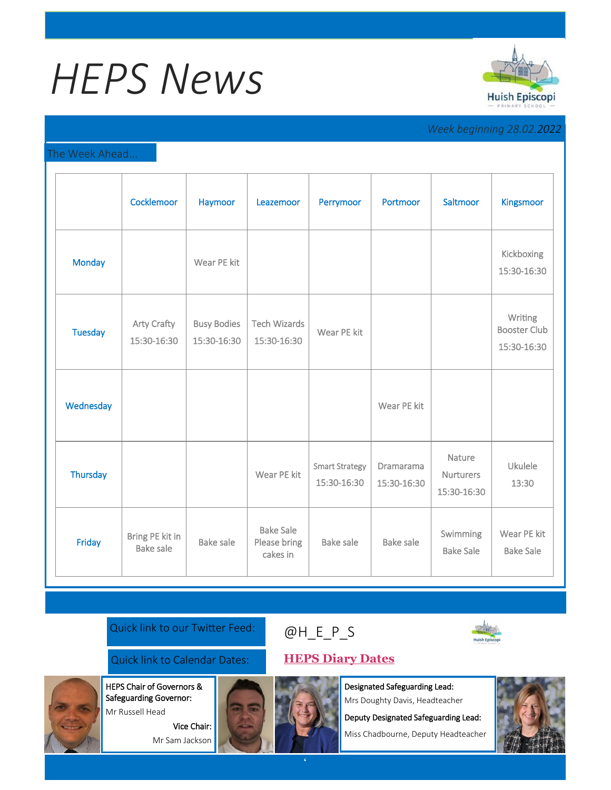# *HEPS News*



## *Week beginning 28.02.2022*

#### The Week Ahead...

|                 | Cocklemoor                          | Haymoor                           | Leazemoor                                    | Perrymoor                            | Portmoor                        | Saltmoor                                  | <b>Kingsmoor</b>                              |
|-----------------|-------------------------------------|-----------------------------------|----------------------------------------------|--------------------------------------|---------------------------------|-------------------------------------------|-----------------------------------------------|
| <b>Monday</b>   |                                     | Wear PE kit                       |                                              |                                      |                                 |                                           | Kickboxing<br>15:30-16:30                     |
| <b>Tuesday</b>  | <b>Arty Crafty</b><br>15:30-16:30   | <b>Busy Bodies</b><br>15:30-16:30 | <b>Tech Wizards</b><br>15:30-16:30           | Wear PE kit                          |                                 |                                           | Writing<br><b>Booster Club</b><br>15:30-16:30 |
| Wednesday       |                                     |                                   |                                              |                                      | Wear PE kit                     |                                           |                                               |
| <b>Thursday</b> |                                     |                                   | Wear PE kit                                  | <b>Smart Strategy</b><br>15:30-16:30 | <b>Dramarama</b><br>15:30-16:30 | Nature<br><b>Nurturers</b><br>15:30-16:30 | Ukulele<br>13:30                              |
| Friday          | Bring PE kit in<br><b>Bake sale</b> | <b>Bake sale</b>                  | <b>Bake Sale</b><br>Please bring<br>cakes in | <b>Bake sale</b>                     | <b>Bake sale</b>                | Swimming<br><b>Bake Sale</b>              | Wear PE kit<br><b>Bake Sale</b>               |

### Quick link to our Twitter Feed:

Quick link to Calendar Dates: **[HEPS Diary Dates](https://huishepiscopiprimary.co.uk/diary-dates/)**

Safeguarding Governor: Mr Russell Head

HEPS Chair of Governors &

Vice Chair: Mr Sam Jackson



Designated Safeguarding Lead:

Mrs Doughty Davis, Headteacher

Deputy Designated Safeguarding Lead:

Miss Chadbourne, Deputy Headteacher



[@H\\_E\\_](https://huishepiscopiprimary.co.uk/diary-dates/)P\_S